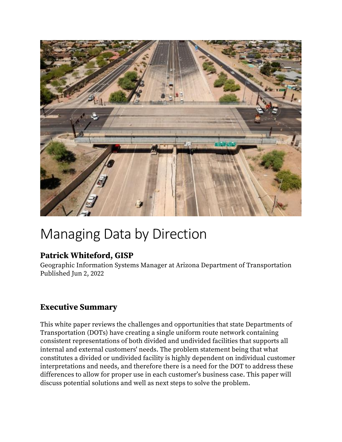

# Managing Data by Direction

# **Patrick Whiteford, GISP**

Geographic Information Systems Manager at Arizona Department of Transportation Published Jun 2, 2022

# **Executive Summary**

This white paper reviews the challenges and opportunities that state Departments of Transportation (DOTs) have creating a single uniform route network containing consistent representations of both divided and undivided facilities that supports all internal and external customers' needs. The problem statement being that what constitutes a divided or undivided facility is highly dependent on individual customer interpretations and needs, and therefore there is a need for the DOT to address these differences to allow for proper use in each customer's business case. This paper will discuss potential solutions and well as next steps to solve the problem.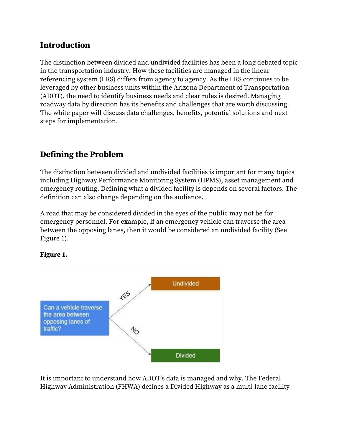## **Introduction**

The distinction between divided and undivided facilities has been a long debated topic in the transportation industry. How these facilities are managed in the linear referencing system (LRS) differs from agency to agency. As the LRS continues to be leveraged by other business units within the Arizona Department of Transportation (ADOT), the need to identify business needs and clear rules is desired. Managing roadway data by direction has its benefits and challenges that are worth discussing. The white paper will discuss data challenges, benefits, potential solutions and next steps for implementation.

# **Defining the Problem**

The distinction between divided and undivided facilities is important for many topics including Highway Performance Monitoring System (HPMS), asset management and emergency routing. Defining what a divided facility is depends on several factors. The definition can also change depending on the audience.

A road that may be considered divided in the eyes of the public may not be for emergency personnel. For example, if an emergency vehicle can traverse the area between the opposing lanes, then it would be considered an undivided facility (See Figure 1).



### **Figure 1.**

It is important to understand how ADOT's data is managed and why. The Federal Highway Administration (FHWA) defines a Divided Highway as a multi-lane facility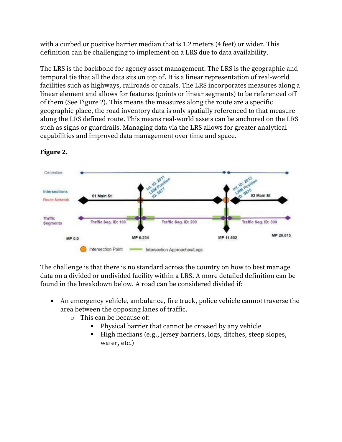with a curbed or positive barrier median that is 1.2 meters (4 feet) or wider. This definition can be challenging to implement on a LRS due to data availability.

The LRS is the backbone for agency asset management. The LRS is the geographic and temporal tie that all the data sits on top of. It is a linear representation of real-world facilities such as highways, railroads or canals. The LRS incorporates measures along a linear element and allows for features (points or linear segments) to be referenced off of them (See Figure 2). This means the measures along the route are a specific geographic place, the road inventory data is only spatially referenced to that measure along the LRS defined route. This means real-world assets can be anchored on the LRS such as signs or guardrails. Managing data via the LRS allows for greater analytical capabilities and improved data management over time and space.



### **Figure 2.**

The challenge is that there is no standard across the country on how to best manage data on a divided or undivided facility within a LRS. A more detailed definition can be found in the breakdown below. A road can be considered divided if:

- An emergency vehicle, ambulance, fire truck, police vehicle cannot traverse the area between the opposing lanes of traffic.
	- o This can be because of:
		- Physical barrier that cannot be crossed by any vehicle
		- High medians (e.g., jersey barriers, logs, ditches, steep slopes, water, etc.)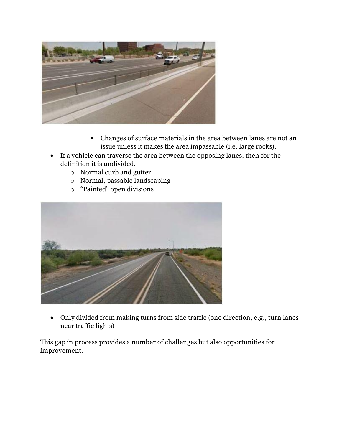

- Changes of surface materials in the area between lanes are not an issue unless it makes the area impassable (i.e. large rocks).
- If a vehicle can traverse the area between the opposing lanes, then for the definition it is undivided.
	- o Normal curb and gutter
	- o Normal, passable landscaping
	- o "Painted" open divisions



• Only divided from making turns from side traffic (one direction, e.g., turn lanes near traffic lights)

This gap in process provides a number of challenges but also opportunities for improvement.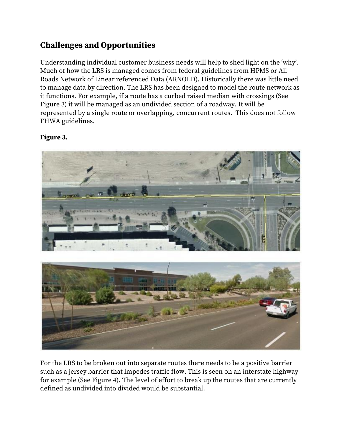# **Challenges and Opportunities**

Understanding individual customer business needs will help to shed light on the 'why'. Much of how the LRS is managed comes from federal guidelines from HPMS or All Roads Network of Linear referenced Data (ARNOLD). Historically there was little need to manage data by direction. The LRS has been designed to model the route network as it functions. For example, if a route has a curbed raised median with crossings (See Figure 3) it will be managed as an undivided section of a roadway. It will be represented by a single route or overlapping, concurrent routes. This does not follow FHWA guidelines.

### **Figure 3.**



For the LRS to be broken out into separate routes there needs to be a positive barrier such as a jersey barrier that impedes traffic flow. This is seen on an interstate highway for example (See Figure 4). The level of effort to break up the routes that are currently defined as undivided into divided would be substantial.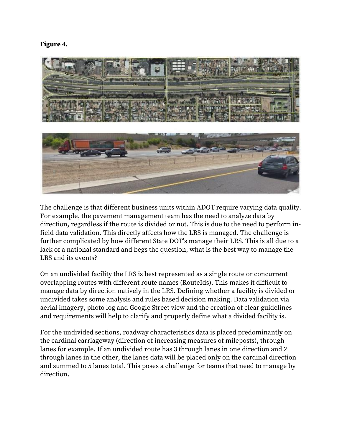**Figure 4.**



The challenge is that different business units within ADOT require varying data quality. For example, the pavement management team has the need to analyze data by direction, regardless if the route is divided or not. This is due to the need to perform infield data validation. This directly affects how the LRS is managed. The challenge is further complicated by how different State DOT's manage their LRS. This is all due to a lack of a national standard and begs the question, what is the best way to manage the LRS and its events?

On an undivided facility the LRS is best represented as a single route or concurrent overlapping routes with different route names (RouteIds). This makes it difficult to manage data by direction natively in the LRS. Defining whether a facility is divided or undivided takes some analysis and rules based decision making. Data validation via aerial imagery, photo log and Google Street view and the creation of clear guidelines and requirements will help to clarify and properly define what a divided facility is.

For the undivided sections, roadway characteristics data is placed predominantly on the cardinal carriageway (direction of increasing measures of mileposts), through lanes for example. If an undivided route has 3 through lanes in one direction and 2 through lanes in the other, the lanes data will be placed only on the cardinal direction and summed to 5 lanes total. This poses a challenge for teams that need to manage by direction.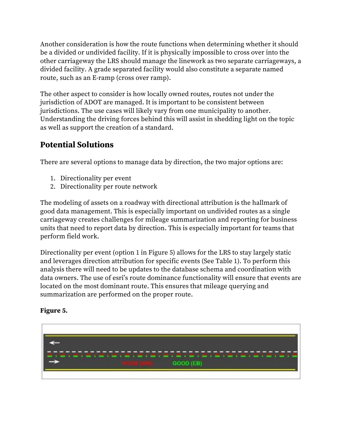Another consideration is how the route functions when determining whether it should be a divided or undivided facility. If it is physically impossible to cross over into the other carriageway the LRS should manage the linework as two separate carriageways, a divided facility. A grade separated facility would also constitute a separate named route, such as an E-ramp (cross over ramp).

The other aspect to consider is how locally owned routes, routes not under the jurisdiction of ADOT are managed. It is important to be consistent between jurisdictions. The use cases will likely vary from one municipality to another. Understanding the driving forces behind this will assist in shedding light on the topic as well as support the creation of a standard.

# **Potential Solutions**

There are several options to manage data by direction, the two major options are:

- 1. Directionality per event
- 2. Directionality per route network

The modeling of assets on a roadway with directional attribution is the hallmark of good data management. This is especially important on undivided routes as a single carriageway creates challenges for mileage summarization and reporting for business units that need to report data by direction. This is especially important for teams that perform field work.

Directionality per event (option 1 in Figure 5) allows for the LRS to stay largely static and leverages direction attribution for specific events (See Table 1). To perform this analysis there will need to be updates to the database schema and coordination with data owners. The use of esri's route dominance functionality will ensure that events are located on the most dominant route. This ensures that mileage querying and summarization are performed on the proper route.

# GOOD (EB)

### **Figure 5.**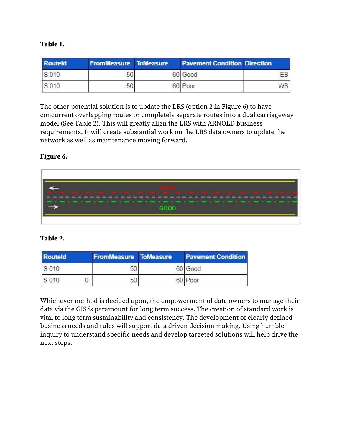### **Table 1.**

| <b>Routeld</b> | <b>FromMeasure ToMeasure</b> | <b>Pavement Condition Direction</b> |      |
|----------------|------------------------------|-------------------------------------|------|
| S 010          | 50                           | 60 Good                             | EΒ   |
| S 010          | 50                           | 60 Poor                             | WB I |

The other potential solution is to update the LRS (option 2 in Figure 6) to have concurrent overlapping routes or completely separate routes into a dual carriageway model (See Table 2). This will greatly align the LRS with ARNOLD business requirements. It will create substantial work on the LRS data owners to update the network as well as maintenance moving forward.

#### **Figure 6.**



### **Table 2.**

| <b>Routeld</b> | <b>FromMeasure ToMeasure</b> | <b>Pavement Condition</b> |
|----------------|------------------------------|---------------------------|
| S 010          | 50                           | 60 Good                   |
| S 010          | 50                           | 60 Poor                   |

Whichever method is decided upon, the empowerment of data owners to manage their data via the GIS is paramount for long term success. The creation of standard work is vital to long term sustainability and consistency. The development of clearly defined business needs and rules will support data driven decision making. Using humble inquiry to understand specific needs and develop targeted solutions will help drive the next steps.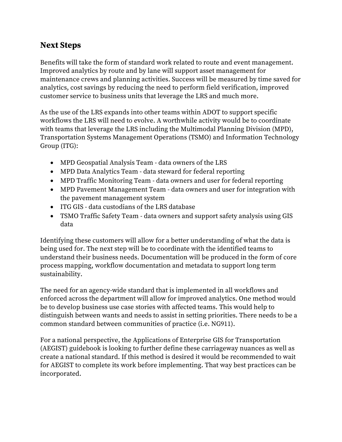# **Next Steps**

Benefits will take the form of standard work related to route and event management. Improved analytics by route and by lane will support asset management for maintenance crews and planning activities. Success will be measured by time saved for analytics, cost savings by reducing the need to perform field verification, improved customer service to business units that leverage the LRS and much more.

As the use of the LRS expands into other teams within ADOT to support specific workflows the LRS will need to evolve. A worthwhile activity would be to coordinate with teams that leverage the LRS including the Multimodal Planning Division (MPD), Transportation Systems Management Operations (TSMO) and Information Technology Group (ITG):

- MPD Geospatial Analysis Team data owners of the LRS
- MPD Data Analytics Team data steward for federal reporting
- MPD Traffic Monitoring Team data owners and user for federal reporting
- MPD Pavement Management Team data owners and user for integration with the pavement management system
- ITG GIS data custodians of the LRS database
- TSMO Traffic Safety Team data owners and support safety analysis using GIS data

Identifying these customers will allow for a better understanding of what the data is being used for. The next step will be to coordinate with the identified teams to understand their business needs. Documentation will be produced in the form of core process mapping, workflow documentation and metadata to support long term sustainability.

The need for an agency-wide standard that is implemented in all workflows and enforced across the department will allow for improved analytics. One method would be to develop business use case stories with affected teams. This would help to distinguish between wants and needs to assist in setting priorities. There needs to be a common standard between communities of practice (i.e. NG911).

For a national perspective, the Applications of Enterprise GIS for Transportation (AEGIST) guidebook is looking to further define these carriageway nuances as well as create a national standard. If this method is desired it would be recommended to wait for AEGIST to complete its work before implementing. That way best practices can be incorporated.